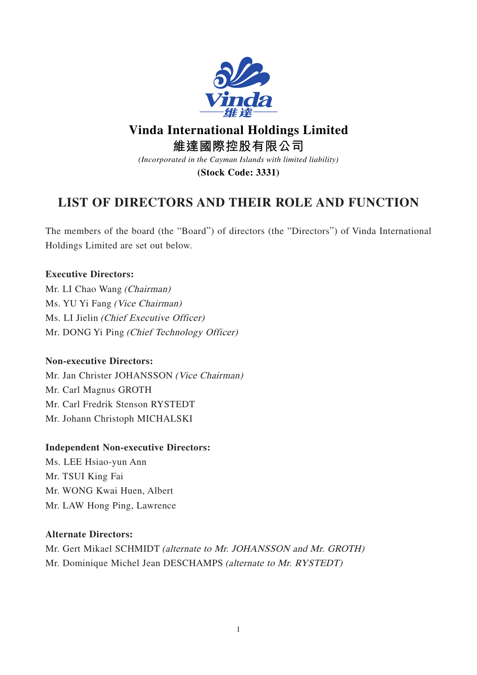

# **Vinda International Holdings Limited**

**維達國際控股有限公司**

*(Incorporated in the Cayman Islands with limited liability)*

**(Stock Code: 3331)**

# **LIST OF DIRECTORS AND THEIR ROLE AND FUNCTION**

The members of the board (the "Board") of directors (the "Directors") of Vinda International Holdings Limited are set out below.

# **Executive Directors:**

Mr. LI Chao Wang (Chairman) Ms. YU Yi Fang (Vice Chairman) Ms. LI Jielin (Chief Executive Officer) Mr. DONG Yi Ping (Chief Technology Officer)

# **Non-executive Directors:**

Mr. Jan Christer JOHANSSON (Vice Chairman) Mr. Carl Magnus GROTH Mr. Carl Fredrik Stenson RYSTEDT Mr. Johann Christoph MICHALSKI

# **Independent Non-executive Directors:**

Ms. LEE Hsiao-yun Ann Mr. TSUI King Fai Mr. WONG Kwai Huen, Albert Mr. LAW Hong Ping, Lawrence

# **Alternate Directors:**

Mr. Gert Mikael SCHMIDT (alternate to Mr. JOHANSSON and Mr. GROTH) Mr. Dominique Michel Jean DESCHAMPS (alternate to Mr. RYSTEDT)